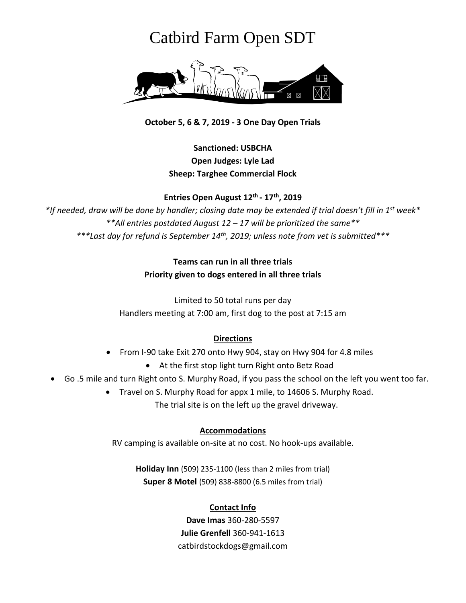# Catbird Farm Open SDT



**October 5, 6 & 7, 2019 - 3 One Day Open Trials**

# **Sanctioned: USBCHA Open Judges: Lyle Lad Sheep: Targhee Commercial Flock**

**Entries Open August 12 th - 17 th , 2019**

*\*If needed, draw will be done by handler; closing date may be extended if trial doesn't fill in 1st week\* \*\*All entries postdated August 12 – 17 will be prioritized the same\*\* \*\*\*Last day for refund is September 14th, 2019; unless note from vet is submitted\*\*\**

> **Teams can run in all three trials Priority given to dogs entered in all three trials**

Limited to 50 total runs per day Handlers meeting at 7:00 am, first dog to the post at 7:15 am

#### **Directions**

- From I-90 take Exit 270 onto Hwy 904, stay on Hwy 904 for 4.8 miles
	- At the first stop light turn Right onto Betz Road
- Go .5 mile and turn Right onto S. Murphy Road, if you pass the school on the left you went too far.
	- Travel on S. Murphy Road for appx 1 mile, to 14606 S. Murphy Road. The trial site is on the left up the gravel driveway.

#### **Accommodations**

RV camping is available on-site at no cost. No hook-ups available.

**Holiday Inn** [\(509\) 235-1100](https://www.google.com/search?q=holiday+inn%2C+cheney+wa&ie=utf-8&oe=utf-8&client=firefox-b-1-ab) (less than 2 miles from trial) **Super 8 Motel** [\(509\) 838-8800](https://www.google.com/search?q=super+8+motel+spokane&ie=utf-8&oe=utf-8&client=firefox-b-1-ab) (6.5 miles from trial)

#### **Contact Info**

**Dave Imas** 360-280-5597 **Julie Grenfell** 360-941-1613 catbirdstockdogs@gmail.com